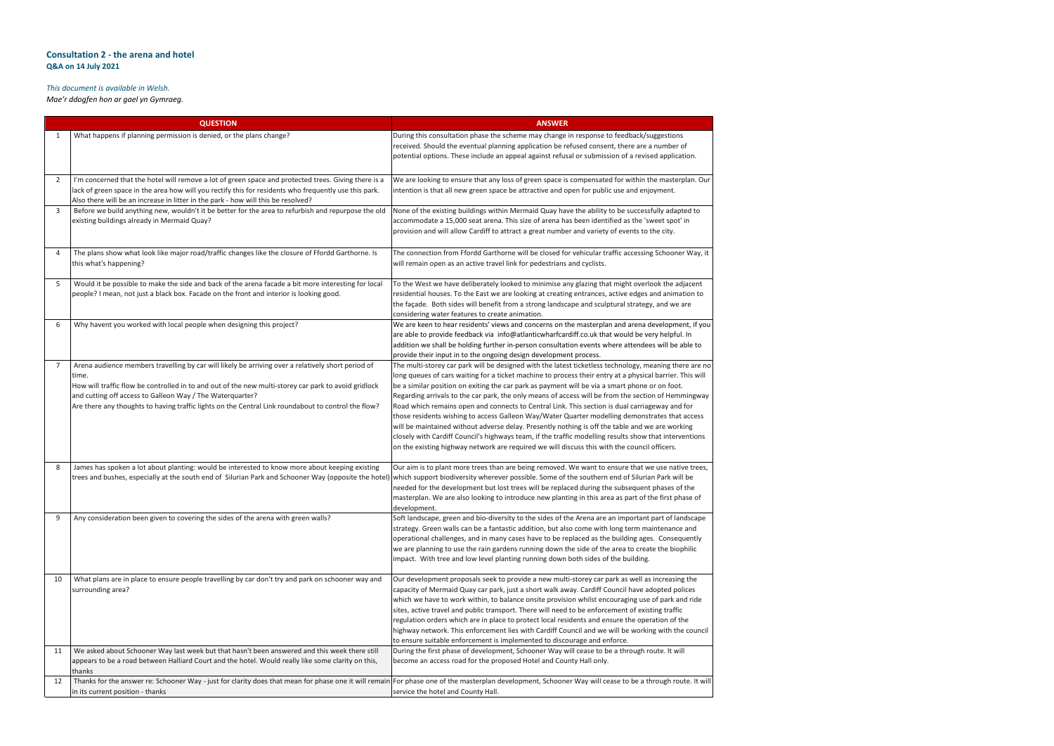## **Consultation 2 - the arena and hotel Q&A on 14 July 2021**

## *This document is available in Welsh.*

*Mae'r ddogfen hon ar gael yn Gymraeg.*

| <b>QUESTION</b> |                                                                                                                                                                                                                                                                                                                                                                                         | <b>ANSWER</b>                                                                                                                                                                                                                                                                                                                                                                                                                                                                                                                                                                                                                                                                                                                                                                                                                                                                                     |  |  |
|-----------------|-----------------------------------------------------------------------------------------------------------------------------------------------------------------------------------------------------------------------------------------------------------------------------------------------------------------------------------------------------------------------------------------|---------------------------------------------------------------------------------------------------------------------------------------------------------------------------------------------------------------------------------------------------------------------------------------------------------------------------------------------------------------------------------------------------------------------------------------------------------------------------------------------------------------------------------------------------------------------------------------------------------------------------------------------------------------------------------------------------------------------------------------------------------------------------------------------------------------------------------------------------------------------------------------------------|--|--|
|                 | What happens if planning permission is denied, or the plans change?                                                                                                                                                                                                                                                                                                                     | During this consultation phase the scheme may change in response to feedback/suggestions<br>received. Should the eventual planning application be refused consent, there are a number o<br>potential options. These include an appeal against refusal or submission of a revised applicat                                                                                                                                                                                                                                                                                                                                                                                                                                                                                                                                                                                                         |  |  |
| 2               | I'm concerned that the hotel will remove a lot of green space and protected trees. Giving there is a<br>lack of green space in the area how will you rectify this for residents who frequently use this park.<br>Also there will be an increase in litter in the park - how will this be resolved?                                                                                      | We are looking to ensure that any loss of green space is compensated for within the masterp<br>intention is that all new green space be attractive and open for public use and enjoyment.                                                                                                                                                                                                                                                                                                                                                                                                                                                                                                                                                                                                                                                                                                         |  |  |
| 3               | Before we build anything new, wouldn't it be better for the area to refurbish and repurpose the old<br>existing buildings already in Mermaid Quay?                                                                                                                                                                                                                                      | None of the existing buildings within Mermaid Quay have the ability to be successfully adapt<br>accommodate a 15,000 seat arena. This size of arena has been identified as the 'sweet spot'<br>provision and will allow Cardiff to attract a great number and variety of events to the city.                                                                                                                                                                                                                                                                                                                                                                                                                                                                                                                                                                                                      |  |  |
| 4               | The plans show what look like major road/traffic changes like the closure of Ffordd Garthorne. Is<br>this what's happening?                                                                                                                                                                                                                                                             | The connection from Ffordd Garthorne will be closed for vehicular traffic accessing Schooner<br>will remain open as an active travel link for pedestrians and cyclists.                                                                                                                                                                                                                                                                                                                                                                                                                                                                                                                                                                                                                                                                                                                           |  |  |
| -5              | Would it be possible to make the side and back of the arena facade a bit more interesting for local<br>people? I mean, not just a black box. Facade on the front and interior is looking good.                                                                                                                                                                                          | To the West we have deliberately looked to minimise any glazing that might overlook the adj<br>residential houses. To the East we are looking at creating entrances, active edges and animat<br>the façade. Both sides will benefit from a strong landscape and sculptural strategy, and we a<br>considering water features to create animation.                                                                                                                                                                                                                                                                                                                                                                                                                                                                                                                                                  |  |  |
| 6               | Why havent you worked with local people when designing this project?                                                                                                                                                                                                                                                                                                                    | We are keen to hear residents' views and concerns on the masterplan and arena development<br>are able to provide feedback via info@atlanticwharfcardiff.co.uk that would be very helpful.<br>addition we shall be holding further in-person consultation events where attendees will be a<br>provide their input in to the ongoing design development process.                                                                                                                                                                                                                                                                                                                                                                                                                                                                                                                                    |  |  |
|                 | Arena audience members travelling by car will likely be arriving over a relatively short period of<br>time.<br>How will traffic flow be controlled in to and out of the new multi-storey car park to avoid gridlock<br>and cutting off access to Galleon Way / The Waterquarter?<br>Are there any thoughts to having traffic lights on the Central Link roundabout to control the flow? | The multi-storey car park will be designed with the latest ticketless technology, meaning the<br>long queues of cars waiting for a ticket machine to process their entry at a physical barrier. T<br>be a similar position on exiting the car park as payment will be via a smart phone or on foot.<br>Regarding arrivals to the car park, the only means of access will be from the section of Hemn<br>Road which remains open and connects to Central Link. This section is dual carriageway and<br>those residents wishing to access Galleon Way/Water Quarter modelling demonstrates that<br>will be maintained without adverse delay. Presently nothing is off the table and we are work<br>closely with Cardiff Council's highways team, if the traffic modelling results show that interve<br>on the existing highway network are required we will discuss this with the council officers. |  |  |
| 8               | James has spoken a lot about planting: would be interested to know more about keeping existing<br>trees and bushes, especially at the south end of Silurian Park and Schooner Way (opposite the hotel)                                                                                                                                                                                  | Our aim is to plant more trees than are being removed. We want to ensure that we use nativ<br>which support biodiversity wherever possible. Some of the southern end of Silurian Park will<br>needed for the development but lost trees will be replaced during the subsequent phases of<br>masterplan. We are also looking to introduce new planting in this area as part of the first pha<br>development.                                                                                                                                                                                                                                                                                                                                                                                                                                                                                       |  |  |
| 9               | Any consideration been given to covering the sides of the arena with green walls?                                                                                                                                                                                                                                                                                                       | Soft landscape, green and bio-diversity to the sides of the Arena are an important part of lan<br>strategy. Green walls can be a fantastic addition, but also come with long term maintenance<br>operational challenges, and in many cases have to be replaced as the building ages. Consequ<br>we are planning to use the rain gardens running down the side of the area to create the biop<br>impact. With tree and low level planting running down both sides of the building.                                                                                                                                                                                                                                                                                                                                                                                                                 |  |  |
| 10              | What plans are in place to ensure people travelling by car don't try and park on schooner way and<br>surrounding area?                                                                                                                                                                                                                                                                  | Our development proposals seek to provide a new multi-storey car park as well as increasing<br>capacity of Mermaid Quay car park, just a short walk away. Cardiff Council have adopted pol<br>which we have to work within, to balance onsite provision whilst encouraging use of park an<br>sites, active travel and public transport. There will need to be enforcement of existing traffic<br>regulation orders which are in place to protect local residents and ensure the operation of th<br>highway network. This enforcement lies with Cardiff Council and we will be working with the<br>to ensure suitable enforcement is implemented to discourage and enforce.                                                                                                                                                                                                                        |  |  |
| 11              | We asked about Schooner Way last week but that hasn't been answered and this week there still<br>appears to be a road between Halliard Court and the hotel. Would really like some clarity on this,<br>thanks                                                                                                                                                                           | During the first phase of development, Schooner Way will cease to be a through route. It will<br>become an access road for the proposed Hotel and County Hall only.                                                                                                                                                                                                                                                                                                                                                                                                                                                                                                                                                                                                                                                                                                                               |  |  |
| 12              | Thanks for the answer re: Schooner Way - just for clarity does that mean for phase one it will remain For phase one of the masterplan development, Schooner Way will cease to be a through rou<br>in its current position - thanks                                                                                                                                                      | service the hotel and County Hall.                                                                                                                                                                                                                                                                                                                                                                                                                                                                                                                                                                                                                                                                                                                                                                                                                                                                |  |  |

are a number of a revised application.

ithin the masterplan. Our nd enjoyment.

Iccessfully adapted to the 'sweet spot' in nts to the city.

tessing Schooner Way, it

overlook the adjacent dges and animation to the faces faradere. Both size

rena development, if you d be very helpful. In tendees will be able to

gy, meaning there are no nysical barrier. This will hone or on foot. section of Hemmingway arriageway and for monstrates that access and we are working show that interventions ouncil officers.

that we use native trees, Silurian Park will be quent phases of the art of the first phase of

rtant part of landscape rm maintenance and ng ages. Consequently create the biophilic

well as increasing the ave adopted polices ng use of park and ride f existing traffic e operation of the working with the council

be a through route. It will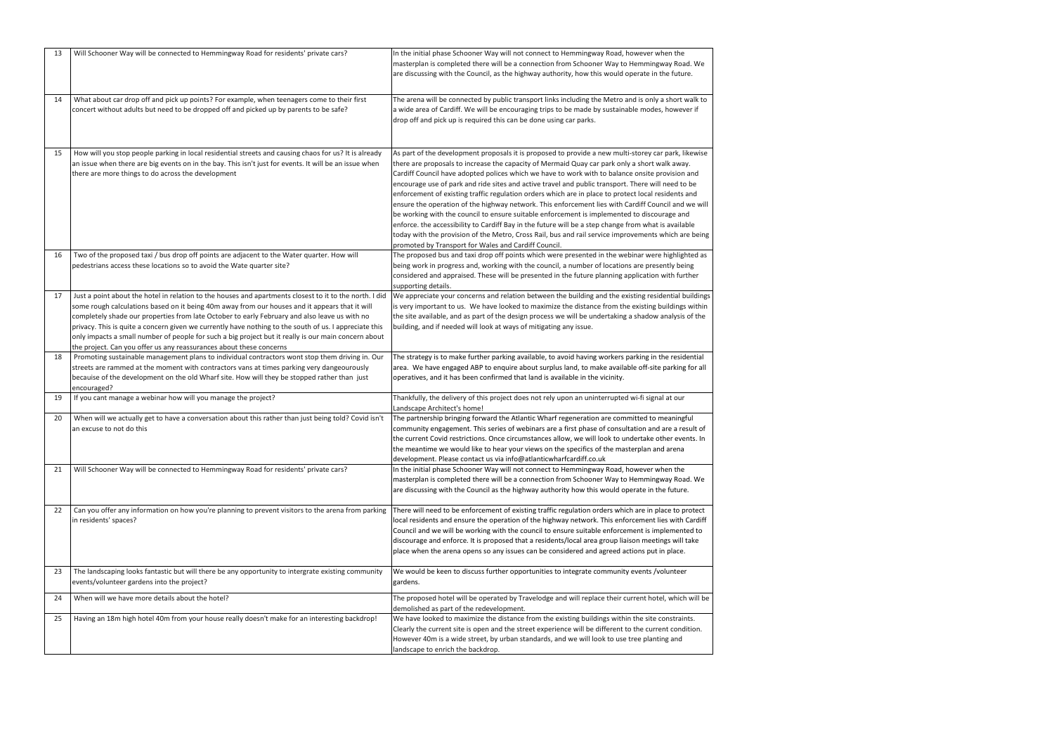| 13 | Will Schooner Way will be connected to Hemmingway Road for residents' private cars?                                                                                                                                                                                                                                                                                                                                                                                                                                                                                                                 | In the initial phase Schooner Way will not connect to Hemmingway Road, however when the<br>masterplan is completed there will be a connection from Schooner Way to Hemmingway Road. \<br>are discussing with the Council, as the highway authority, how this would operate in the future.                                                                                                                                                                                                                                                                                                                                                                                                                                                                                                                                                                                                                                                                                               |
|----|-----------------------------------------------------------------------------------------------------------------------------------------------------------------------------------------------------------------------------------------------------------------------------------------------------------------------------------------------------------------------------------------------------------------------------------------------------------------------------------------------------------------------------------------------------------------------------------------------------|-----------------------------------------------------------------------------------------------------------------------------------------------------------------------------------------------------------------------------------------------------------------------------------------------------------------------------------------------------------------------------------------------------------------------------------------------------------------------------------------------------------------------------------------------------------------------------------------------------------------------------------------------------------------------------------------------------------------------------------------------------------------------------------------------------------------------------------------------------------------------------------------------------------------------------------------------------------------------------------------|
| 14 | What about car drop off and pick up points? For example, when teenagers come to their first<br>concert without adults but need to be dropped off and picked up by parents to be safe?                                                                                                                                                                                                                                                                                                                                                                                                               | The arena will be connected by public transport links including the Metro and is only a short wall<br>a wide area of Cardiff. We will be encouraging trips to be made by sustainable modes, however i<br>drop off and pick up is required this can be done using car parks.                                                                                                                                                                                                                                                                                                                                                                                                                                                                                                                                                                                                                                                                                                             |
| 15 | How will you stop people parking in local residential streets and causing chaos for us? It is already<br>an issue when there are big events on in the bay. This isn't just for events. It will be an issue when<br>there are more things to do across the development                                                                                                                                                                                                                                                                                                                               | As part of the development proposals it is proposed to provide a new multi-storey car park, likev<br>there are proposals to increase the capacity of Mermaid Quay car park only a short walk away.<br>Cardiff Council have adopted polices which we have to work with to balance onsite provision and<br>encourage use of park and ride sites and active travel and public transport. There will need to be<br>enforcement of existing traffic regulation orders which are in place to protect local residents and<br>ensure the operation of the highway network. This enforcement lies with Cardiff Council and we<br>be working with the council to ensure suitable enforcement is implemented to discourage and<br>enforce. the accessibility to Cardiff Bay in the future will be a step change from what is available<br>today with the provision of the Metro, Cross Rail, bus and rail service improvements which are b<br>promoted by Transport for Wales and Cardiff Council. |
| 16 | Two of the proposed taxi / bus drop off points are adjacent to the Water quarter. How will<br>pedestrians access these locations so to avoid the Wate quarter site?                                                                                                                                                                                                                                                                                                                                                                                                                                 | The proposed bus and taxi drop off points which were presented in the webinar were highlighted<br>being work in progress and, working with the council, a number of locations are presently being<br>considered and appraised. These will be presented in the future planning application with furthe<br>supporting details.                                                                                                                                                                                                                                                                                                                                                                                                                                                                                                                                                                                                                                                            |
| 17 | Just a point about the hotel in relation to the houses and apartments closest to it to the north. I did<br>some rough calculations based on it being 40m away from our houses and it appears that it will<br>completely shade our properties from late October to early February and also leave us with no<br>privacy. This is quite a concern given we currently have nothing to the south of us. I appreciate this<br>only impacts a small number of people for such a big project but it really is our main concern about<br>the project. Can you offer us any reassurances about these concerns | We appreciate your concerns and relation between the building and the existing residential build<br>is very important to us. We have looked to maximize the distance from the existing buildings wi<br>the site available, and as part of the design process we will be undertaking a shadow analysis of<br>building, and if needed will look at ways of mitigating any issue.                                                                                                                                                                                                                                                                                                                                                                                                                                                                                                                                                                                                          |
| 18 | Promoting sustainable management plans to individual contractors wont stop them driving in. Our<br>streets are rammed at the moment with contractors vans at times parking very dangeourously<br>becauise of the development on the old Wharf site. How will they be stopped rather than just<br>encouraged?                                                                                                                                                                                                                                                                                        | The strategy is to make further parking available, to avoid having workers parking in the resident<br>area. We have engaged ABP to enquire about surplus land, to make available off-site parking for<br>operatives, and it has been confirmed that land is available in the vicinity.                                                                                                                                                                                                                                                                                                                                                                                                                                                                                                                                                                                                                                                                                                  |
| 19 | If you cant manage a webinar how will you manage the project?                                                                                                                                                                                                                                                                                                                                                                                                                                                                                                                                       | Thankfully, the delivery of this project does not rely upon an uninterrupted wi-fi signal at our<br>Landscape Architect's home!                                                                                                                                                                                                                                                                                                                                                                                                                                                                                                                                                                                                                                                                                                                                                                                                                                                         |
| 20 | When will we actually get to have a conversation about this rather than just being told? Covid isn't<br>an excuse to not do this                                                                                                                                                                                                                                                                                                                                                                                                                                                                    | The partnership bringing forward the Atlantic Wharf regeneration are committed to meaningful<br>community engagement. This series of webinars are a first phase of consultation and are a result<br>the current Covid restrictions. Once circumstances allow, we will look to undertake other events<br>the meantime we would like to hear your views on the specifics of the masterplan and arena<br>development. Please contact us via info@atlanticwharfcardiff.co.uk                                                                                                                                                                                                                                                                                                                                                                                                                                                                                                                |
| 21 | Will Schooner Way will be connected to Hemmingway Road for residents' private cars?                                                                                                                                                                                                                                                                                                                                                                                                                                                                                                                 | In the initial phase Schooner Way will not connect to Hemmingway Road, however when the<br>masterplan is completed there will be a connection from Schooner Way to Hemmingway Road. \<br>are discussing with the Council as the highway authority how this would operate in the future.                                                                                                                                                                                                                                                                                                                                                                                                                                                                                                                                                                                                                                                                                                 |
| 22 | Can you offer any information on how you're planning to prevent visitors to the arena from parking<br>in residents' spaces?                                                                                                                                                                                                                                                                                                                                                                                                                                                                         | There will need to be enforcement of existing traffic regulation orders which are in place to prot<br>local residents and ensure the operation of the highway network. This enforcement lies with Car<br>Council and we will be working with the council to ensure suitable enforcement is implemented<br>discourage and enforce. It is proposed that a residents/local area group liaison meetings will tak<br>place when the arena opens so any issues can be considered and agreed actions put in place.                                                                                                                                                                                                                                                                                                                                                                                                                                                                             |
| 23 | The landscaping looks fantastic but will there be any opportunity to intergrate existing community<br>events/volunteer gardens into the project?                                                                                                                                                                                                                                                                                                                                                                                                                                                    | We would be keen to discuss further opportunities to integrate community events /volunteer<br>gardens.                                                                                                                                                                                                                                                                                                                                                                                                                                                                                                                                                                                                                                                                                                                                                                                                                                                                                  |
| 24 | When will we have more details about the hotel?                                                                                                                                                                                                                                                                                                                                                                                                                                                                                                                                                     | The proposed hotel will be operated by Travelodge and will replace their current hotel, which wi<br>demolished as part of the redevelopment.                                                                                                                                                                                                                                                                                                                                                                                                                                                                                                                                                                                                                                                                                                                                                                                                                                            |
| 25 | Having an 18m high hotel 40m from your house really doesn't make for an interesting backdrop!                                                                                                                                                                                                                                                                                                                                                                                                                                                                                                       | We have looked to maximize the distance from the existing buildings within the site constraints.<br>Clearly the current site is open and the street experience will be different to the current condition<br>However 40m is a wide street, by urban standards, and we will look to use tree planting and<br>landscape to enrich the backdrop.                                                                                                                                                                                                                                                                                                                                                                                                                                                                                                                                                                                                                                           |

lemmingway Road. We berate in the future.  $\overline{\phantom{a}}$ nd is only a short walk to ble modes, however if storey car park, likewise a short walk away. e onsite provision and here will need to be t local residents and rdiff Council and we will to discourage and om what is available vements which are being inar were highlighted as are presently being plication with further ting residential buildings existing buildings within shadow analysis of the arking in the residential le off-site parking for all nitted to meaningful ation and are a result of tertake other events. In erplan and arena lemmingway Road. We rate in the future. h are in place to protect cement lies with Cardiff nent is implemented to on meetings will take tions put in place. events /volunteer rent hotel, which will be the current condition. ee planting and